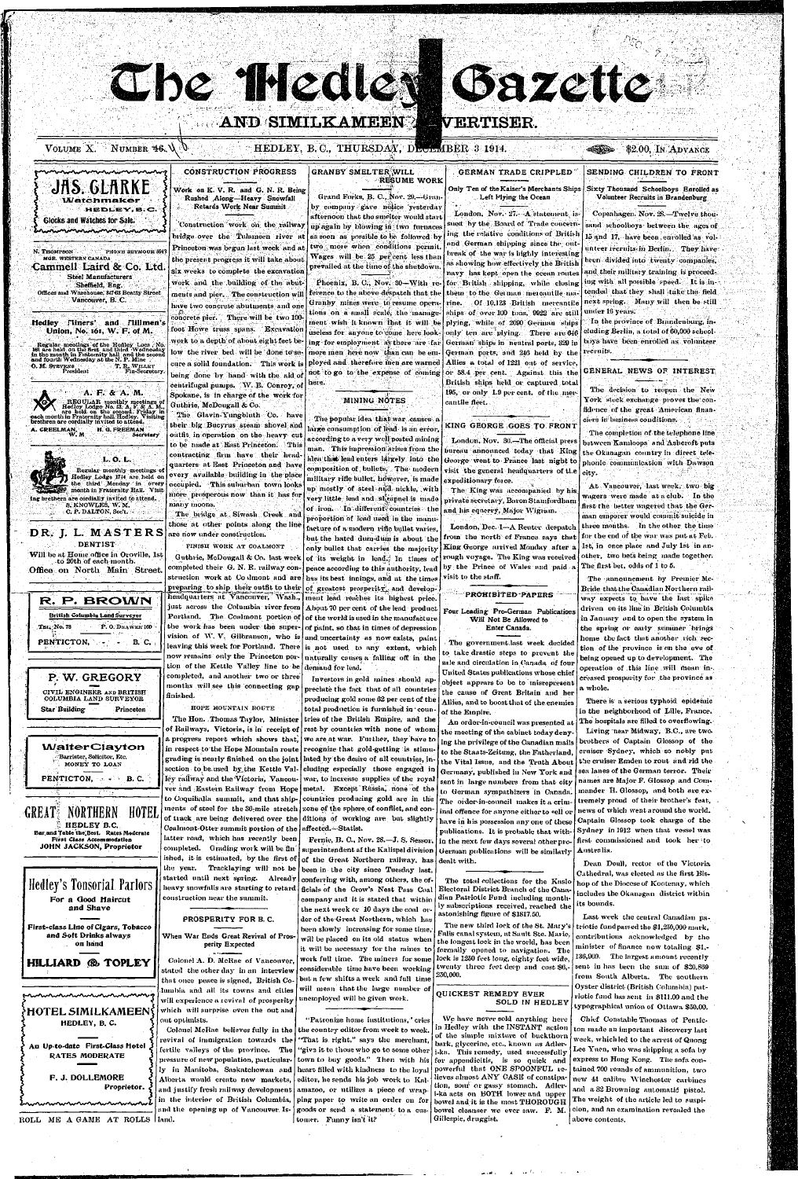AND SIMILKAMEEN VERTISER.

Che Medie dazette

HEDLEY, B.C.

**MGR. WESTERN CANADA** 

## CONSTRUCTION PROGRESS Work on K. V. R. and G. N. R. Being Rushed Along—Heavy Snowfall

Retards Work Near Summit 'Construction work on the railway bridge over the Tulameen river a

N. THOMPSON " PHONE SEYMOUR 594 •Cammell Laird & Co. Ltd. Regular meotings of the Hedley Locn , No. 161 are held on the first and third Wednesday<br>in the month in Fraternity hall and the second<br>and fourth Wednesday at the N. P. Mine<br>O. M. STEVENS T, R. WILLKY Princeton was begun last week and at the present progress it will take about six weeks to complete the excavation work and the building of the abutments and pier. The construction will have two concrete abutments and one concrete pier. There will be two  $100$ foot Howe truss spans. Excavation work to a depth of about eight feet below the river bed will be done to secure a solid foundation. This work is being done by hand with the aid of centrifugal pumps. W. B. Conroy, of Spokane, is in charge of the work for Guthrie, McDougall & Co.

REGULAR monthly meetings of Hedley Lodgo No. 43, A. F. & A. M., each month in Fraternity hall. Hedley. Visiting brethren are cordially invited to attend. The Glavin-Yungbluth Co. have their big Bucyrus steam shovel and outfit in operation on the heavy cut to be made at 'East Princeton. This contracting firm have their headquarters at East Princeton and have every available building in the place occupied. This suburban town looks more prosperous now than it has for many moons.

**Hedley . Fliners' and Flillmen's Union, No. 161, W. F. of M.** 

O. M. STRVENS Francisco Fin-Secretary.<br>President Fin-Secretary.

Steel Manufacturers Sheffield, Eng. Offices and Warehouse, 847-63 Beatty Street Vancouver, B. C.

JAS. GLARKE **Watchmaker** 

Glocks and Watches for Sale. minninininininin

Ing brethern are cordially invited to attend. S. KNOWLES, W. M. C. P. DALTON, Sect.

DR. J. L. MASTERS The bridge at Siwash Creek and those at other points along the line are now under construction.

FINISU WORK AT COALMONT

Guthrie, McDougall & Co. last week completed their G. N. R. railway construction work at Co ilmont and are preparing to ship their outfit to their headquarters at Vancouver, Wash., just across the Columbia river-from Portland. The Coalmont portion of the work has been under the super-

vision of W. V. Gilbranson, who is leaving this week for Portland. There

GRANBY SMELTER WILL  $\circ$ RESUME WORK

Grand Forks, B. C., Nov. 29,-Granby company gave notice yesterday afternoon that the smelter would start up again by blowing in two furnaces as soon as possible to be followed by two more when conditions permit. Wages will be  $25$  per cent less than prevailed at the time of the shutdown.

**DENTIST** Will be at Home office in Oroville, 1st to 20th of each month . **Office on North Main Street.** 

R. F». BROWN British Columbia Land Surveyor TEI<sub>5</sub>, No. 78 P. O. DHAWER 160

PENTICTON,  $\rightarrow$  B.C.

 $A. F. \& A. M.$ 

A. CREELMAN,

 $\mathbf{w}$  and

H. O. FREEMAN

Secretary

VOLUME X. NUMBER 46.  $\setminus$   $\setminus$  HEDLEY, B. C., THURSDAY, DECLMBER 3 1914.  $\blacksquare$  42.00, In ADVANCE

L. O. L. Regular monthly meetings of Hedley Lodge 1744 are held on the third Monday in every month in Fraternity Hall. Visit

GERMAN TRADE CRIPPLED Only Ten of the Kaiser's Merchants Ships , Left Plying the Ocean

SENDING CHILDREN TO FRONT Sixty Thousand Schoolboys Enrolled as

London. Nov. 27.- A statement issued by the Board of Trade concerning the relative conditions of British and German shipping since the outbreak of the war is highly interesting as showing how effectively the British navy has kept open the ocean routes for British shipping, while closing them to the German mercantile marine. Of 10,123 British mercantile ships of over 100 tons, 9922 are still plying, while of 2090 German ships only ten are plying. There are  $646$ German ships in neutral ports, 329 in German ports, and 246 held by the Allies a total of 1221 out of service, or 58.4 per cent. Against this the British ships held or captured total 195, or only  $1.9$  per cent, of the mercantile fleet.

### KING GEORGE GOES TO FRONT

London, Nov. 30.-The official press bureau announced today that King George went to France last night to visit the general headquarters of the expeditionary force.

The King was accompanied by his private secretary, Baron Stamfordham and his equerry, Major Wigram.

London, Dec. 1-A Renter despatch from the north of France says that King George arrived Monday after a rough voyage. The King was received by the Prince of Wales and paid a visit to the staff.

#### PROHIBITED PAPERS

Phoenix, B. C., Nov.  $30-With$  reference to the above despatch that the Granby mines were to resume operations on a small scale, the management wish it known that it will be useless for anyone to come here looking for employment as there are far more men here now than can be employed and therefore men are warned not to go to the expense of coming here .

## MINING NOTES

The popular idea that war causes a large consumption of lead is an error, according to a very well posted mining man. This impression arises from the idea that lead enters largely into the composition of bullets. The modern military rifle bullet, however, is made up mostly of steel and nickle, with very little lead and skrapnel is made of iron. In different countries the proportion of lead used in the manufacture of a modern rifle bullet varies, but the hated dum-dum is about the only bullet that carries the majority

of its weight in lead. In times of peace according to this authority, lead has its best innings, and at the times of greatest prosperity, and development lead reaches its highest price.

About 70 per cent of the lead product of the world is used in the manufacture of paint, so that in times of depression and uncertainty as now exists, paint is not used to any extent, which naturally causes a falling off in the

Volunteer Recruits in Brandenburg

Copenhagen. Nov. 28.-Twelve thousand schoolboys between the ages of 15 and 17, have been enrolled as volunteer recruits in Berlin. They have heen divided into twenty companies, and their military training is proceeding with all possible speed. It is intended that they shall take the field next spring. Many will then be still under 16 years.

The decision to reopen the New York stock exchange proves the confidence of the great American financiers in business conditions.

The completion of the telephone line between Kamloops' and Ashcroft puts the Okanagan country in direct telephonic communication with Dawson city.

At Vancouver, last week, two big wagers were made at a club. In the first the better wagered that the German emporer would commit suicide in three months. In the other the time for the end of the war was put at Feb. 1st, in once place and July 1st in another, two bets being made together. The first bet, odds of 1 to 5.

The announcment by Premier Mc-Bride that the Canadian Northern railway expects to have the last spike driven on its line in British Columbia in January and to open the system in the spring or early summer brings home the fact that another rich section of the province is on the eve of being opened up to development. The



 $\mathbf{u} = \mathbf{u} \cdot \mathbf{u}$  ,  $\mathbf{u} \cdot \mathbf{u} = \mathbf{u} \cdot \mathbf{u}$  $\langle\mathbf{v},\mathbf{v}\rangle=\langle\mathbf{A}\rangle$ 

In the province of Brandenburg , including Berlin, a total of 60,000 schoolboys have been enrolled as volunteer recruits.

### GENERAL NEWS OF INTEREST

Four Leading Pro-German Publications Will Not Be Allowed to Enter Canada.

The government last week decided to take drastic steps to prevent the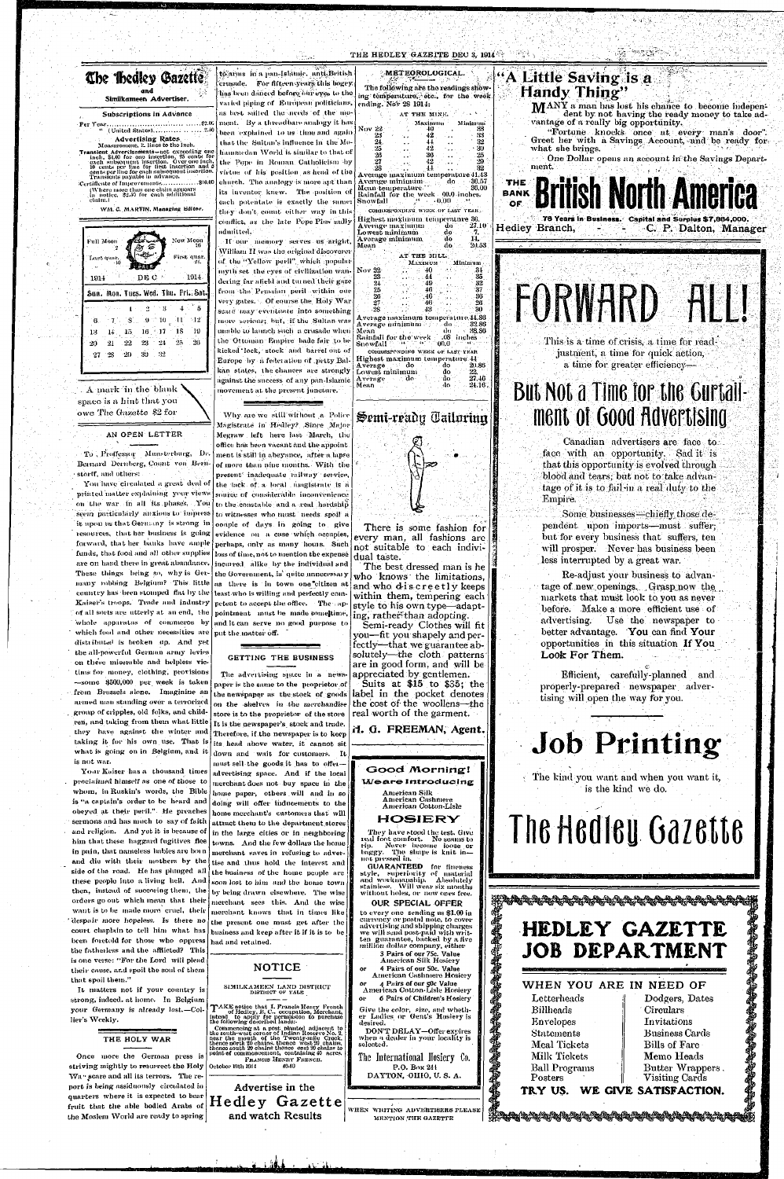

less interrupted by a great war. Re-adjust your business to advantage of new openings. Grasp now the markets that must look to you as never before. Make a more efficient use of advertising. Use the newspaper to better advantage. You can find Your opportunities in this situation If You Look For Them.

forward, that her banks have ample funds, that food and all other supplies are on hand there in great abundance. These things being so, why is Germany robbing Belgium? This little country has been stomped flat by the Kaiser's troops. Trade and industry of all sorts are utterly at an end, the whole apparatus of commerce by which food and other necessities are distributed is broken up. And yet the all-powerful German army levies on these miserable and helpless victims for money, clothing, provisions -some \$500,000 per week is taken from Brussels alone. Imaginine an armed man standing over a terrorized group of cripples, old folks, and children, and taking from them what little they have against the winter and taking it for his own use. That is what is going on in Belgium, and it is not war. Your Kaiser has a thousand times proclaimed himself as one of those to whom, in Ruskin's words, the Bible is "a captain's order to be heard and obeyed at their peril." He preaches sermons and has much to say of faith and religion. And yet it is because of  $\int$  in the large cities or in neighboring him that these haggard fugitives flee in pain, that nameless bables are born and die with their mothers by the side of the road. He has plunged all these people into a living hell. And then, instead of succoring them, the orders go out which mean that their want is to be made more cruel, their despair more hopeless. Is there no court chaplain to tell him what has been foretold for those who oppress the fatherless and the afflicted? This is one verse: "For the Lord will plead their cause, and spoil the soul of them that spoil them." It matters not if your country is strong, indeed. at home. In Belgium your Germany is already lost.-Collier's Weekly.

perhaps, only as many hours. Such loss of time, not to mention the expense incurred alike by the individual and the Government, is quite unnecessary

as there is in town one citizen at least who is willing and perfectly competent to accept the office. The appointment must be made somettime, and it can serve no good purpose to put the matter off.

GETTING THE BUSINESS

not suitable to each individual taste.

The best dressed man is he who knows the limitations. and who discreetly keeps within them, tempering each style to his own type—adapting, rather than adopting.

Semi-ready Clothes will fit you—fit you shapely and perfectly—that we guarantee absolutely—the cloth patterns are in good form, and will be appreciated by gentlemen. Suits at  $$15$  to  $$35$ ; the label in the pocket denotes the cost of the woollens-the real worth of the garment.



The advertising space in a newspaper is the same to the proprietor of the newspaper as the stock of goods on the shelves in the merchandise store is to the proprietor of the store It is the newspaper's stock and trade. Therefore, if the newspaper is to keep its head above water, it cannot sit down and wait for customers. It must sell the goods it has to offer-

advertising space. And if the local merchant does not buy space in the home paper, others will and in so doing will offer inducements to the home merchant's customers that will attract them to the department stores towns. And the few dollars the home merchant saves in refusing to advertise and thus hold the interest and the business of the home people are soon lost to him and the home town by being drawn elsewhere. The wise merchant sees this. And the wise merchant knows that in times like the present one must get after the business and keep after it if it is to be had and retained.



H. G. FREEMAN, Agent.

## Good Morning! *Meare Introducing*

American Silk American Cashmere<br>American Cotton-Lisle

## HOSIERY

They have stood the test. Give real foot comfort. No seams to Never become loose or baggy. The shape is knit innot pressed in.

**GUARANTEED** for fineness style, superiority of material and workmanship. Absolutely stainless. Will wear six months without holes, or new ones free.

### **OUR SPECIAL OFFER**

to every one sending us \$1.00 in currency or postal note, to cover advertising and shipping charges we will send post-paid with written guarantee, backed by a five million dollar company, either

3 Pairs of our 75c. Value American Silk Hosiery

建築學

4 Pairs of our 50c. Value **American Cashmere Hosicry** 

or = 4 Pairs of our 50c Value<br>American Cotton-Lisle Hosiery 6 Pairs of Children's Hosiery

Give the color, size, and wheth-<br>er Ladies, or Gent's Hosiery is desired.

DON'T DELAY-Offer expires when a dealer in your locality is selected.

The International Hosiery Co. P.O. Box 244 DAYTON, OHIO, U.S. A.

WHEN WRITING ADVERTISERS PLEASE MENTION THE GAZETTE

Efficient, carefully-planned and properly-prepared newspaper advertising will open the way for you.

# **Job Printing**

The kind you want and when you want it, is the kind we do.

# The Hedley Gazette

# HEDLEY GAZETTE **JOB DEPARTMENT**

# WHEN YOU ARE IN NEED OF

Letterheads **Billheads Envelopes Statements** Meal Tickets Milk Tickets **Ball Programs** 

Posters

**Circulars** Invitations Business Cards **Bills of Fare** Memo Heads Butter Wrappers. Visiting Cards

中华的印刷版

Dodgers, Dates

#### WE GIVE SATISFACTION. TRY US.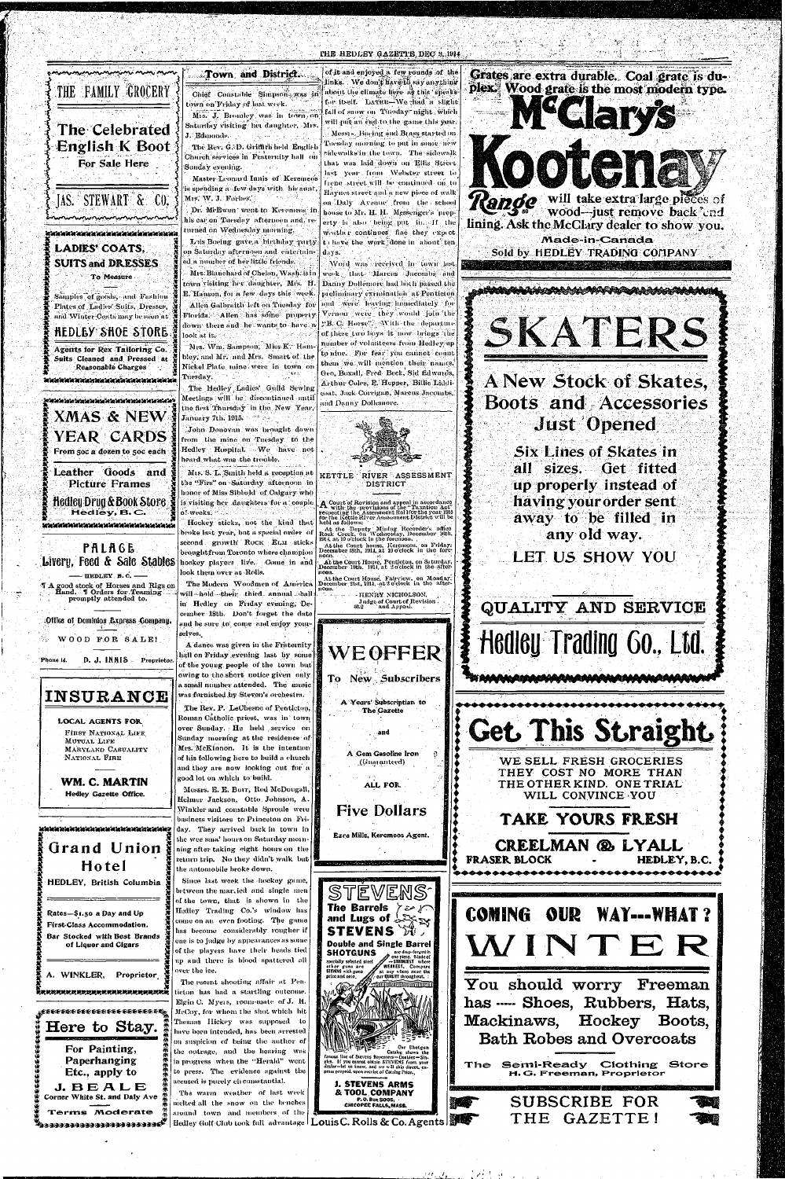#### THE HEDLEY GAZETTE DEC 3, 1914

# THE FAMILY GROCERY The Celebrated **English K Boot** For Sale Here **IAS. STEWART & CO.**

# LADIES' COATS, **SUITS and DRESSES** To Measure

Samples of goods, and Fashion Plates of Ladies' Suits, Dresses, and Winter Coats may be seen at

# **HEDLEY SHOE STORE**

Agents for Rex Tailoring Co. Suits Cleaned and Pressed at Reasonable Charges

e et elektronistik et elektronistik et elektronistik et elektronistik et elektronistik et elektronistik et ele

XMAS & NEW \$ **YEAR CARDS** From 50c a dozen to 50c each Leather Goods and **Picture Frames Hedley Drug & Book Store** Hedley, B.C. ereden de staten av de staten av de staten de staten de staten de staten de staten de staten de sta

PALAGE Livery, Feed & Sale Stables hookey players live. Come in and - HEDLEY  $B.C.$  -T A good stock of Horses and Rigs on<br>Hund. T Orders for Teaming<br>promptly attended to. Office of Dominion Express Gompany. WOOD FOR SALE! Phone is. D. J. INNIS Proprietor

Town and District. Chief Constable Simpson was in town on Friday of last week.

Mrs. J. Brondey was in town on Saturday visiting het daughter, Mrs. J. Edmonds 

The Rev. G. D. Griffith held English Church services in Fraternity hall on Sunday evening.

Master Leonard Innis of Keremeos is spending a few days with his aunt, Mrs. W. J. Forbes

Dr. McEwen went to Keremees in his car on Tuesday afternoon and, returned on Wednesday morning.

Lois Boeing gave a birthday party m Saturday afternoon and entertained a number of her little friends.

Mrs. Blanchard of Chelan, Wash, is in town visiting her daughter, Mrs. H. E. Hanson, for a few days this week. Allen Galbraith left on Tuesday for Florida. Allen has some property down there and he wants to have a  $\frac{1}{2}$  on  $\frac{1}{2}$  at  $\frac{1}{2}$  it. det in the first interpretation

Mrs. Wm. Sampson, Miss K. Hambley, and Mr. and Mrs. Smart of the Nickel Plate mine were in town on Tuesday.

The Hedley Ladies' Guild Sewing Meetings will be discontinued until the first Thursday in the New Year, January 7th. 1915. No has

John Donovan was brought down from the mine on Tuesday to the Hedley Hospital. We have not heard what was the trouble.

Mrs. S. L. Smith held a reception at the "Firs" on Saturday afternoon in honor of Miss Sibbald of Calgary who is visiting her daughters for a couple. of weeks, and a

Hockey sticks, not the kind that broke last year, but a special order of second growth ROCK ELM sticks broughtfrom Toronto where champion look them over at Rolls.

The Modern Woodmen of America will-hold their third annual ball in Hedley on Friday evening, December 18th. Don't forget the date and be sure to come and enjoy yourselves.

A dance was given in the Fraternity hall on Friday evening last by some of the young people of the town but

of it and enjoyed a few rounds of the links. We don't have to say anything about the climate here as this speaks. for itself. LATER-We that a slight fall of snow on Tuesday night which will put an end to the game this year. Messie. Bueing and Brass started on Tuesday morning to put in some new eidewalks in the town. The sidewalk that was hid down on Ellis Street last year from Webster street to frenc street will be continued on to Haynes street and a new piece of walk on Daly Avenue from the school house to Mr. H. H. Messenger's 'nroperty is also being put in. If the weather continues fine they expect to have the work done in about ten days.

Word was received in town last week Unite Marcus Jacombs and Danny Dollemore had both passed the preliminary extraination at Penticion and were leaving immediately for Vernon were they would join the "B. C. Horse". With the departure of these two hoys it now brings the number of volunteers from Hedley up to nine. For fear you eannot count them we will mention their names. Geo, Boxall, Fred Beck, Sid Edwards, Arthur Coles, E. Hepper, Billie Liddicoat, Jack Corrigan, Marcus Jacombs, and Danny Dollemore.



DISTRICT

 $\bf{A}$  Court of Rovision and appeal in accordance respecting the Assessment Rol for the year 1915 for the Kottle River Assessment District will be held as follows At the Deputy Mining Recorder's office<br>Rock Creek, on Wednesday, December 16th,<br>1914, at 10 o'clock in the forenoon. At the Court house. Keremeos, on Friday.<br>December 18th, 1914, at 10 o'clock in the fore-

noon At the Court House, Penticton, on Saturday,<br>December 19th, 1914, at 2 o'clock in the afternoon

At the Court House, Fairview, on Monday, December 21st, 1914, at 2 o'clock in the after 110011. - HENRY NICHOLSON,

**WEOFFER** 

Judge of Court of Revision





**Six Lines of Skates in** all sizes. Get fitted up properly instead of having your order sent away to be filled in any old way.

LET US SHOW YOU

QUALITY AND SERVICE

**Hedley Trading Go., Ltd.** 



gangag ini pada tersebut